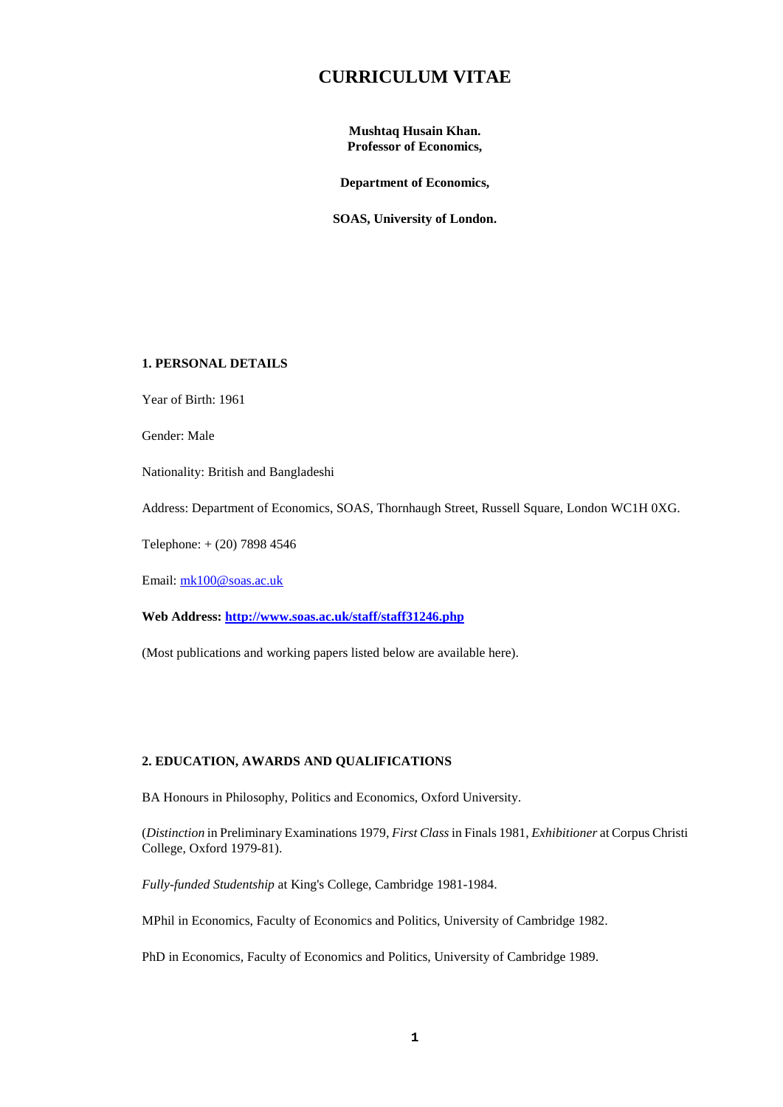# **CURRICULUM VITAE**

**Mushtaq Husain Khan. Professor of Economics,**

**Department of Economics,**

**SOAS, University of London.**

# **1. PERSONAL DETAILS**

Year of Birth: 1961

Gender: Male

Nationality: British and Bangladeshi

Address: Department of Economics, SOAS, Thornhaugh Street, Russell Square, London WC1H 0XG.

Telephone: + (20) 7898 4546

Email: [mk100@soas.ac.uk](mailto:mk100@soas.ac.uk)

# **Web Address:<http://www.soas.ac.uk/staff/staff31246.php>**

(Most publications and working papers listed below are available here).

# **2. EDUCATION, AWARDS AND QUALIFICATIONS**

BA Honours in Philosophy, Politics and Economics, Oxford University.

(*Distinction* in Preliminary Examinations 1979, *First Class* in Finals 1981, *Exhibitioner* at Corpus Christi College, Oxford 1979-81).

*Fully-funded Studentship* at King's College, Cambridge 1981-1984.

MPhil in Economics, Faculty of Economics and Politics, University of Cambridge 1982.

PhD in Economics, Faculty of Economics and Politics, University of Cambridge 1989.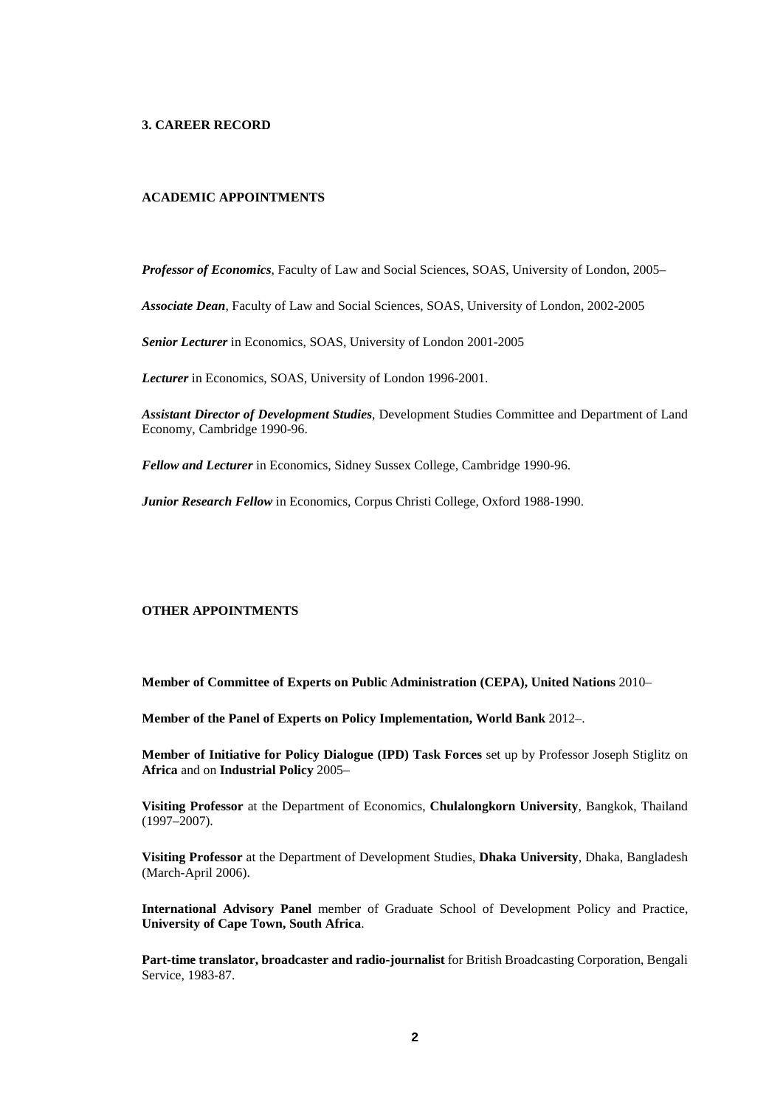### **3. CAREER RECORD**

# **ACADEMIC APPOINTMENTS**

*Professor of Economics*, Faculty of Law and Social Sciences, SOAS, University of London, 2005–

*Associate Dean*, Faculty of Law and Social Sciences, SOAS, University of London, 2002-2005

*Senior Lecturer* in Economics, SOAS, University of London 2001-2005

*Lecturer* in Economics, SOAS, University of London 1996-2001.

*Assistant Director of Development Studies*, Development Studies Committee and Department of Land Economy, Cambridge 1990-96.

*Fellow and Lecturer* in Economics, Sidney Sussex College, Cambridge 1990-96.

*Junior Research Fellow* in Economics, Corpus Christi College, Oxford 1988-1990.

# **OTHER APPOINTMENTS**

**Member of Committee of Experts on Public Administration (CEPA), United Nations** 2010–

**Member of the Panel of Experts on Policy Implementation, World Bank** 2012–.

**Member of Initiative for Policy Dialogue (IPD) Task Forces** set up by Professor Joseph Stiglitz on **Africa** and on **Industrial Policy** 2005–

**Visiting Professor** at the Department of Economics, **Chulalongkorn University**, Bangkok, Thailand (1997–2007).

**Visiting Professor** at the Department of Development Studies, **Dhaka University**, Dhaka, Bangladesh (March-April 2006).

**International Advisory Panel** member of Graduate School of Development Policy and Practice, **University of Cape Town, South Africa**.

**Part-time translator, broadcaster and radio-journalist** for British Broadcasting Corporation, Bengali Service, 1983-87.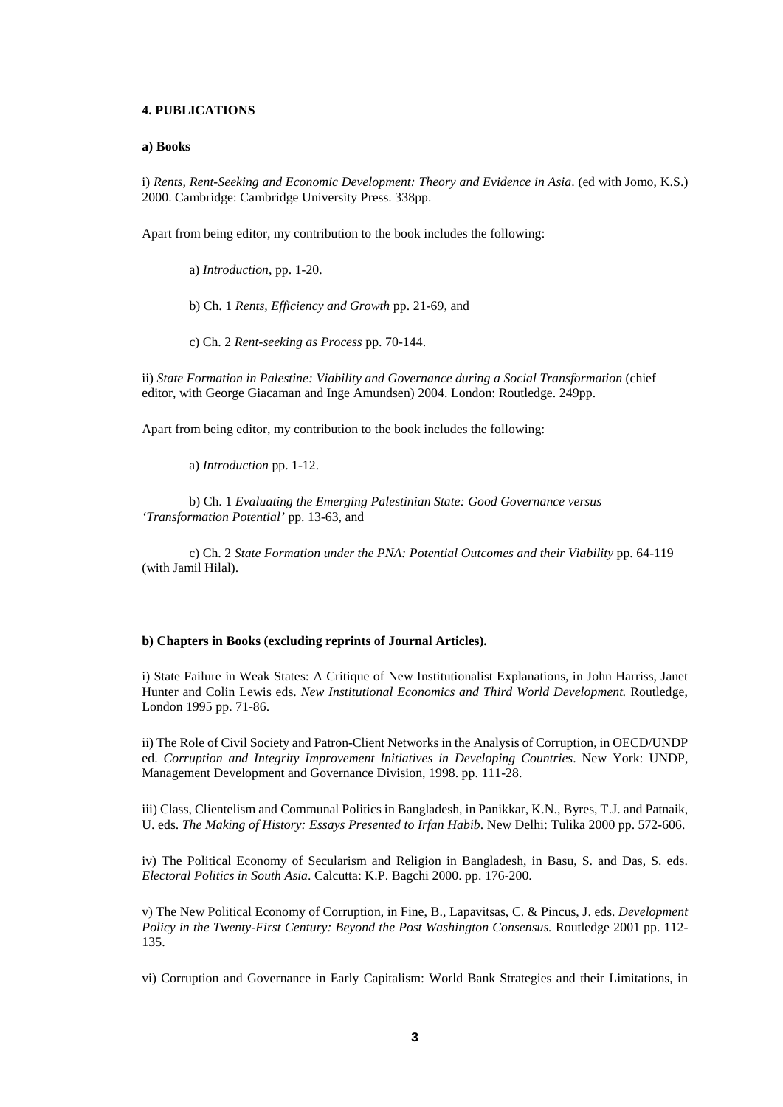### **4. PUBLICATIONS**

#### **a) Books**

i) *Rents, Rent-Seeking and Economic Development: Theory and Evidence in Asia*. (ed with Jomo, K.S.) 2000. Cambridge: Cambridge University Press. 338pp.

Apart from being editor, my contribution to the book includes the following:

a) *Introduction*, pp. 1-20.

b) Ch. 1 *Rents, Efficiency and Growth* pp. 21-69, and

c) Ch. 2 *Rent-seeking as Process* pp. 70-144.

ii) *State Formation in Palestine: Viability and Governance during a Social Transformation* (chief editor, with George Giacaman and Inge Amundsen) 2004. London: Routledge. 249pp.

Apart from being editor, my contribution to the book includes the following:

a) *Introduction* pp. 1-12.

b) Ch. 1 *Evaluating the Emerging Palestinian State: Good Governance versus 'Transformation Potential'* pp. 13-63, and

c) Ch. 2 *State Formation under the PNA: Potential Outcomes and their Viability* pp. 64-119 (with Jamil Hilal).

#### **b) Chapters in Books (excluding reprints of Journal Articles).**

i) State Failure in Weak States: A Critique of New Institutionalist Explanations, in John Harriss, Janet Hunter and Colin Lewis eds. *New Institutional Economics and Third World Development.* Routledge, London 1995 pp. 71-86.

ii) The Role of Civil Society and Patron-Client Networks in the Analysis of Corruption, in OECD/UNDP ed. *Corruption and Integrity Improvement Initiatives in Developing Countries*. New York: UNDP, Management Development and Governance Division, 1998. pp. 111-28.

iii) Class, Clientelism and Communal Politics in Bangladesh, in Panikkar, K.N., Byres, T.J. and Patnaik, U. eds. *The Making of History: Essays Presented to Irfan Habib*. New Delhi: Tulika 2000 pp. 572-606.

iv) The Political Economy of Secularism and Religion in Bangladesh, in Basu, S. and Das, S. eds. *Electoral Politics in South Asia*. Calcutta: K.P. Bagchi 2000. pp. 176-200.

v) The New Political Economy of Corruption, in Fine, B., Lapavitsas, C. & Pincus, J. eds. *Development Policy in the Twenty-First Century: Beyond the Post Washington Consensus.* Routledge 2001 pp. 112- 135.

vi) Corruption and Governance in Early Capitalism: World Bank Strategies and their Limitations, in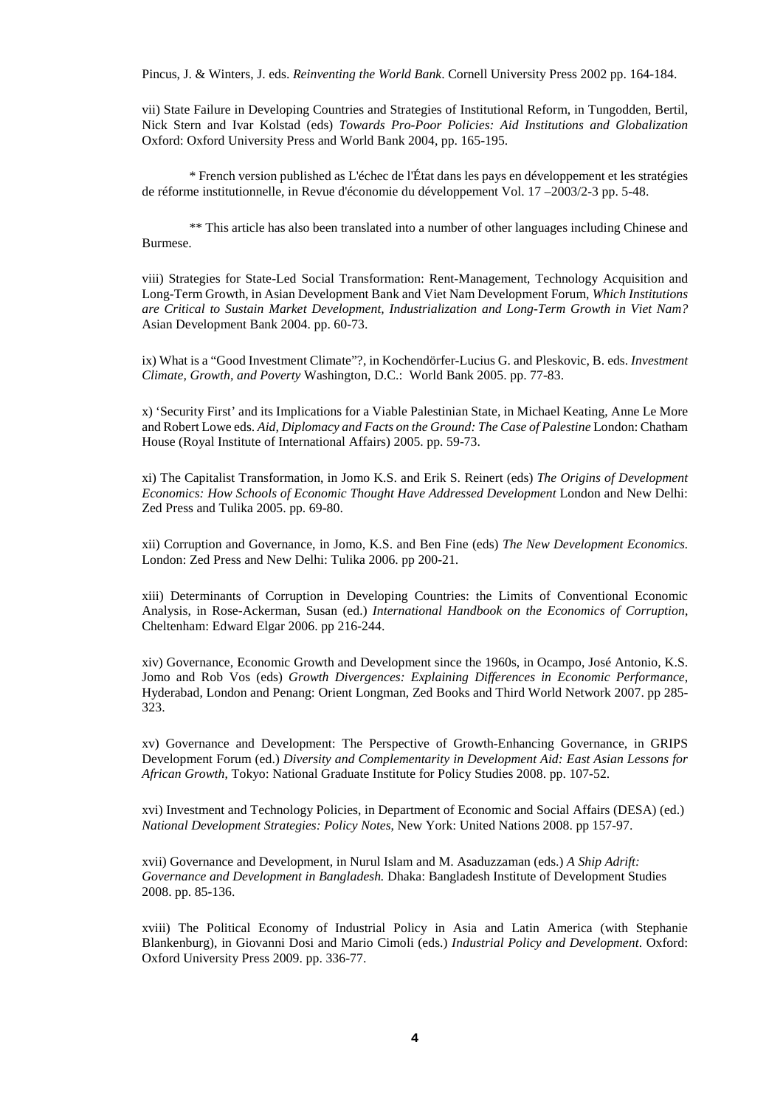Pincus, J. & Winters, J. eds. *Reinventing the World Bank*. Cornell University Press 2002 pp. 164-184.

vii) State Failure in Developing Countries and Strategies of Institutional Reform, in Tungodden, Bertil, Nick Stern and Ivar Kolstad (eds) *Towards Pro-Poor Policies: Aid Institutions and Globalization*  Oxford: Oxford University Press and World Bank 2004, pp. 165-195.

\* French version published as L'échec de l'État dans les pays en développement et les stratégies de réforme institutionnelle, in Revue d'économie du développement Vol. 17 –2003/2-3 pp. 5-48.

\*\* This article has also been translated into a number of other languages including Chinese and Burmese.

viii) Strategies for State-Led Social Transformation: Rent-Management, Technology Acquisition and Long-Term Growth, in Asian Development Bank and Viet Nam Development Forum, *Which Institutions are Critical to Sustain Market Development, Industrialization and Long-Term Growth in Viet Nam?* Asian Development Bank 2004. pp. 60-73.

ix) What is a "Good Investment Climate"?, in Kochendörfer-Lucius G. and Pleskovic, B. eds. *Investment Climate, Growth, and Poverty* Washington, D.C.: World Bank 2005. pp. 77-83.

x) 'Security First' and its Implications for a Viable Palestinian State, in Michael Keating, Anne Le More and Robert Lowe eds. *Aid, Diplomacy and Facts on the Ground: The Case of Palestine* London: Chatham House (Royal Institute of International Affairs) 2005. pp. 59-73.

xi) The Capitalist Transformation, in Jomo K.S. and Erik S. Reinert (eds) *The Origins of Development Economics: How Schools of Economic Thought Have Addressed Development* London and New Delhi: Zed Press and Tulika 2005. pp. 69-80.

xii) Corruption and Governance, in Jomo, K.S. and Ben Fine (eds) *The New Development Economics.* London: Zed Press and New Delhi: Tulika 2006. pp 200-21.

xiii) Determinants of Corruption in Developing Countries: the Limits of Conventional Economic Analysis, in Rose-Ackerman, Susan (ed.) *International Handbook on the Economics of Corruption*, Cheltenham: Edward Elgar 2006. pp 216-244.

xiv) Governance, Economic Growth and Development since the 1960s, in Ocampo, José Antonio, K.S. Jomo and Rob Vos (eds) *Growth Divergences: Explaining Differences in Economic Performance*, Hyderabad, London and Penang: Orient Longman, Zed Books and Third World Network 2007. pp 285- 323.

xv) Governance and Development: The Perspective of Growth-Enhancing Governance, in GRIPS Development Forum (ed.) *Diversity and Complementarity in Development Aid: East Asian Lessons for African Growth*, Tokyo: National Graduate Institute for Policy Studies 2008. pp. 107-52.

xvi) Investment and Technology Policies, in Department of Economic and Social Affairs (DESA) (ed.) *National Development Strategies: Policy Notes*, New York: United Nations 2008. pp 157-97.

xvii) Governance and Development, in Nurul Islam and M. Asaduzzaman (eds.) *A Ship Adrift: Governance and Development in Bangladesh.* Dhaka: Bangladesh Institute of Development Studies 2008. pp. 85-136.

xviii) The Political Economy of Industrial Policy in Asia and Latin America (with Stephanie Blankenburg), in Giovanni Dosi and Mario Cimoli (eds.) *Industrial Policy and Development*. Oxford: Oxford University Press 2009. pp. 336-77.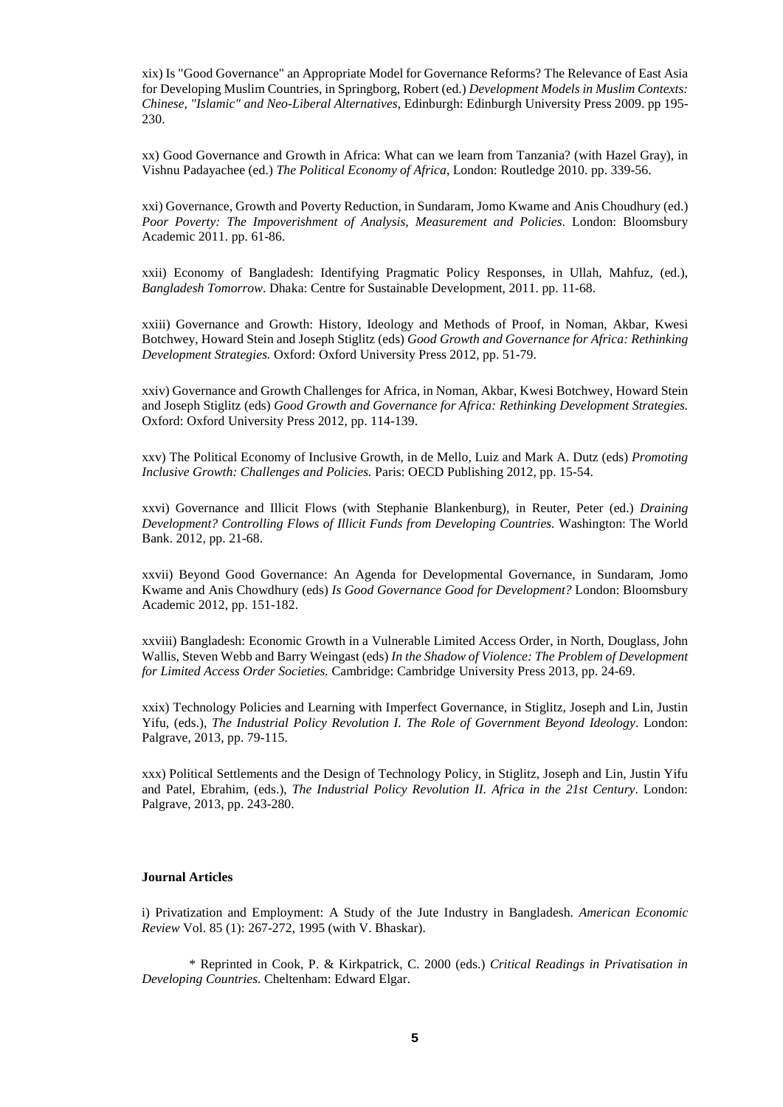xix) Is "Good Governance" an Appropriate Model for Governance Reforms? The Relevance of East Asia for Developing Muslim Countries, in Springborg, Robert (ed.) *Development Models in Muslim Contexts: Chinese, "Islamic" and Neo-Liberal Alternatives*, Edinburgh: Edinburgh University Press 2009. pp 195- 230.

xx) Good Governance and Growth in Africa: What can we learn from Tanzania? (with Hazel Gray), in Vishnu Padayachee (ed.) *The Political Economy of Africa,* London: Routledge 2010. pp. 339-56.

xxi) Governance, Growth and Poverty Reduction, in Sundaram, Jomo Kwame and Anis Choudhury (ed.) *Poor Poverty: The Impoverishment of Analysis, Measurement and Policies*. London: Bloomsbury Academic 2011. pp. 61-86.

xxii) Economy of Bangladesh: Identifying Pragmatic Policy Responses, in Ullah, Mahfuz, (ed.), *Bangladesh Tomorrow*. Dhaka: Centre for Sustainable Development, 2011. pp. 11-68.

xxiii) Governance and Growth: History, Ideology and Methods of Proof, in Noman, Akbar, Kwesi Botchwey, Howard Stein and Joseph Stiglitz (eds) *Good Growth and Governance for Africa: Rethinking Development Strategies.* Oxford: Oxford University Press 2012, pp. 51-79.

xxiv) Governance and Growth Challenges for Africa, in Noman, Akbar, Kwesi Botchwey, Howard Stein and Joseph Stiglitz (eds) *Good Growth and Governance for Africa: Rethinking Development Strategies.* Oxford: Oxford University Press 2012, pp. 114-139.

xxv) The Political Economy of Inclusive Growth, in de Mello, Luiz and Mark A. Dutz (eds) *Promoting Inclusive Growth: Challenges and Policies.* Paris: OECD Publishing 2012, pp. 15-54.

xxvi) Governance and Illicit Flows (with Stephanie Blankenburg), in Reuter, Peter (ed.) *Draining Development? Controlling Flows of Illicit Funds from Developing Countries.* Washington: The World Bank. 2012, pp. 21-68.

xxvii) Beyond Good Governance: An Agenda for Developmental Governance, in Sundaram, Jomo Kwame and Anis Chowdhury (eds) *Is Good Governance Good for Development?* London: Bloomsbury Academic 2012, pp. 151-182.

xxviii) Bangladesh: Economic Growth in a Vulnerable Limited Access Order, in North, Douglass, John Wallis, Steven Webb and Barry Weingast (eds) *In the Shadow of Violence: The Problem of Development for Limited Access Order Societies.* Cambridge: Cambridge University Press 2013, pp. 24-69.

xxix) Technology Policies and Learning with Imperfect Governance, in Stiglitz, Joseph and Lin, Justin Yifu, (eds.), *The Industrial Policy Revolution I. The Role of Government Beyond Ideology*. London: Palgrave, 2013, pp. 79-115.

xxx) Political Settlements and the Design of Technology Policy, in Stiglitz, Joseph and Lin, Justin Yifu and Patel, Ebrahim, (eds.), *The Industrial Policy Revolution II. Africa in the 21st Century*. London: Palgrave, 2013, pp. 243-280.

### **Journal Articles**

i) Privatization and Employment: A Study of the Jute Industry in Bangladesh. *American Economic Review* Vol. 85 (1): 267-272, 1995 (with V. Bhaskar).

\* Reprinted in Cook, P. & Kirkpatrick, C. 2000 (eds.) *Critical Readings in Privatisation in Developing Countries*. Cheltenham: Edward Elgar.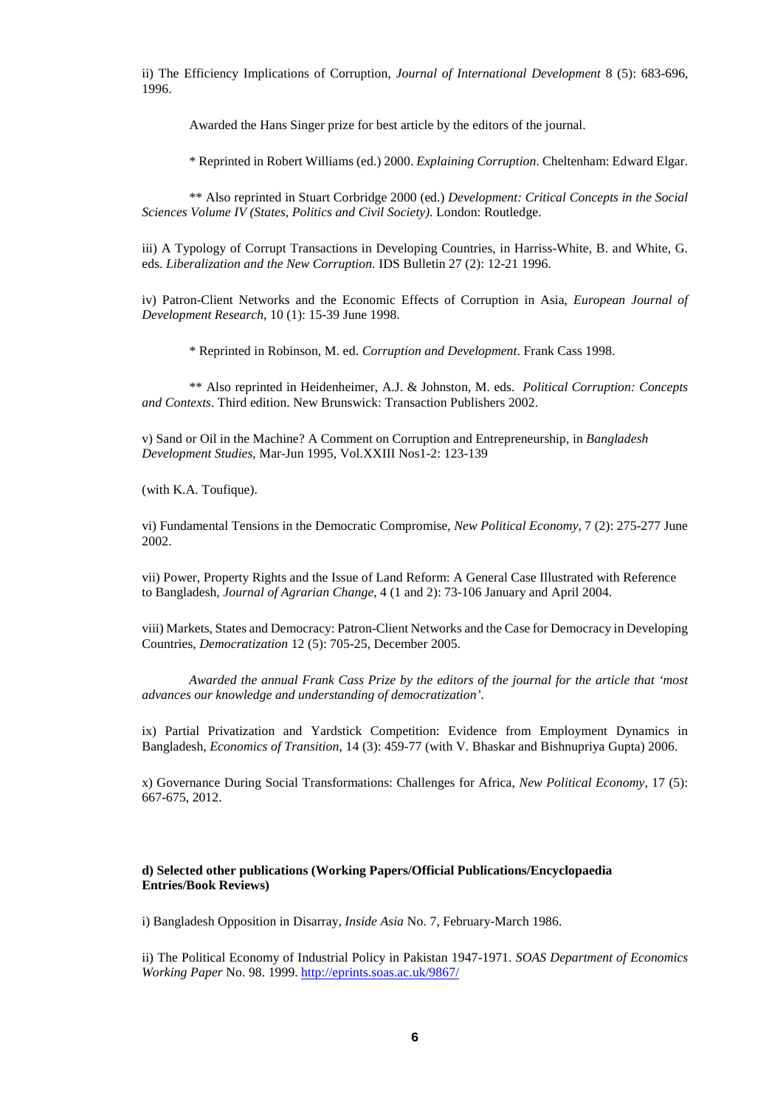ii) The Efficiency Implications of Corruption, *Journal of International Development* 8 (5): 683-696, 1996.

Awarded the Hans Singer prize for best article by the editors of the journal.

\* Reprinted in Robert Williams (ed.) 2000. *Explaining Corruption*. Cheltenham: Edward Elgar.

\*\* Also reprinted in Stuart Corbridge 2000 (ed.) *Development: Critical Concepts in the Social Sciences Volume IV (States, Politics and Civil Society)*. London: Routledge.

iii) A Typology of Corrupt Transactions in Developing Countries, in Harriss-White, B. and White, G. eds. *Liberalization and the New Corruption.* IDS Bulletin 27 (2): 12-21 1996.

iv) Patron-Client Networks and the Economic Effects of Corruption in Asia, *European Journal of Development Research*, 10 (1): 15-39 June 1998.

\* Reprinted in Robinson, M. ed. *Corruption and Development*. Frank Cass 1998.

\*\* Also reprinted in Heidenheimer, A.J. & Johnston, M. eds. *Political Corruption: Concepts and Contexts*. Third edition. New Brunswick: Transaction Publishers 2002.

v) Sand or Oil in the Machine? A Comment on Corruption and Entrepreneurship, in *Bangladesh Development Studies*, Mar-Jun 1995, Vol.XXIII Nos1-2: 123-139

(with K.A. Toufique).

vi) Fundamental Tensions in the Democratic Compromise, *New Political Economy*, 7 (2): 275-277 June 2002.

vii) Power, Property Rights and the Issue of Land Reform: A General Case Illustrated with Reference to Bangladesh, *Journal of Agrarian Change*, 4 (1 and 2): 73-106 January and April 2004.

viii) Markets, States and Democracy: Patron-Client Networks and the Case for Democracy in Developing Countries, *Democratization* 12 (5): 705-25, December 2005.

*Awarded the annual Frank Cass Prize by the editors of the journal for the article that 'most advances our knowledge and understanding of democratization'.*

ix) Partial Privatization and Yardstick Competition: Evidence from Employment Dynamics in Bangladesh, *Economics of Transition*, 14 (3): 459-77 (with V. Bhaskar and Bishnupriya Gupta) 2006.

x) Governance During Social Transformations: Challenges for Africa, *New Political Economy*, 17 (5): 667-675, 2012.

# **d) Selected other publications (Working Papers/Official Publications/Encyclopaedia Entries/Book Reviews)**

i) Bangladesh Opposition in Disarray, *Inside Asia* No. 7, February-March 1986.

ii) The Political Economy of Industrial Policy in Pakistan 1947-1971. *SOAS Department of Economics Working Paper* No. 98. 1999.<http://eprints.soas.ac.uk/9867/>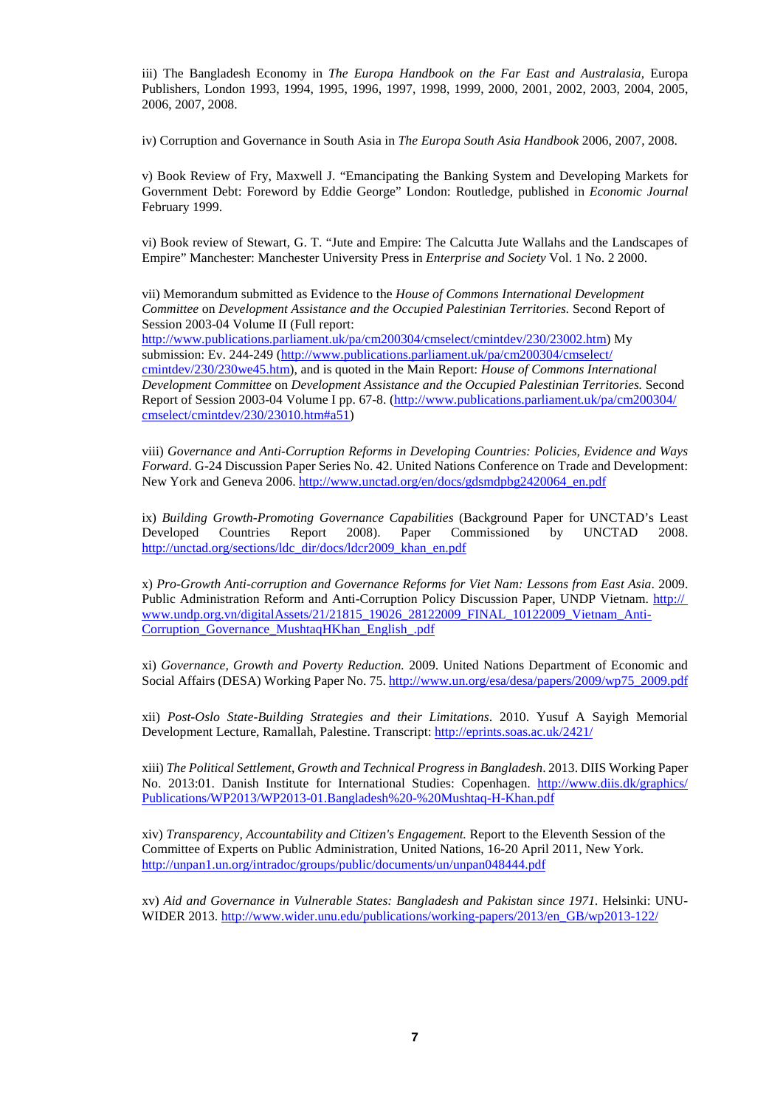iii) The Bangladesh Economy in *The Europa Handbook on the Far East and Australasia*, Europa Publishers, London 1993, 1994, 1995, 1996, 1997, 1998, 1999, 2000, 2001, 2002, 2003, 2004, 2005, 2006, 2007, 2008.

iv) Corruption and Governance in South Asia in *The Europa South Asia Handbook* 2006, 2007, 2008.

v) Book Review of Fry, Maxwell J. "Emancipating the Banking System and Developing Markets for Government Debt: Foreword by Eddie George" London: Routledge, published in *Economic Journal* February 1999.

vi) Book review of Stewart, G. T. "Jute and Empire: The Calcutta Jute Wallahs and the Landscapes of Empire" Manchester: Manchester University Press in *Enterprise and Society* Vol. 1 No. 2 2000.

vii) Memorandum submitted as Evidence to the *House of Commons International Development Committee* on *Development Assistance and the Occupied Palestinian Territories.* Second Report of Session 2003-04 Volume II (Full report:

[http://www.publications.parliament.uk/pa/cm200304/cmselect/cmintdev/230/23002.htm\)](http://www.publications.parliament.uk/pa/cm200304/cmselect/cmintdev/230/23002.htm) My submission: Ev. 244-249 [\(http://www.publications.parliament.uk/pa/cm200304/cmselect/](http://www.publications.parliament.uk/pa/cm200304/cmselect/cmintdev/230/230we45.htm) [cmintdev/230/230we45.htm\)](http://www.publications.parliament.uk/pa/cm200304/cmselect/cmintdev/230/230we45.htm), and is quoted in the Main Report: *House of Commons International Development Committee* on *Development Assistance and the Occupied Palestinian Territories.* Second Report of Session 2003-04 Volume I pp. 67-8. [\(http://www.publications.parliament.uk/pa/cm200304/](http://www.publications.parliament.uk/pa/cm200304/cmselect/cmintdev/230/23010.htm%23a51) [cmselect/cmintdev/230/23010.htm#a51\)](http://www.publications.parliament.uk/pa/cm200304/cmselect/cmintdev/230/23010.htm%23a51)

viii) *Governance and Anti-Corruption Reforms in Developing Countries: Policies, Evidence and Ways Forward*. G-24 Discussion Paper Series No. 42. United Nations Conference on Trade and Development: New York and Geneva 2006. [http://www.unctad.org/en/docs/gdsmdpbg2420064\\_en.pdf](http://www.unctad.org/en/docs/gdsmdpbg2420064_en.pdf)

ix) *Building Growth-Promoting Governance Capabilities* (Background Paper for UNCTAD's Least Developed Countries Report 2008). Paper Commissioned by UNCTAD 2008. [http://unctad.org/sections/ldc\\_dir/docs/ldcr2009\\_khan\\_en.pdf](http://unctad.org/sections/ldc_dir/docs/ldcr2009_khan_en.pdf)

x) *Pro-Growth Anti-corruption and Governance Reforms for Viet Nam: Lessons from East Asia*. 2009. Public Administration Reform and Anti-Corruption Policy Discussion Paper, UNDP Vietnam. http:// www.undp.org.vn/digitalAssets/21/21815\_19026\_28122009\_FINAL\_10122009\_Vietnam\_Anti-Corruption\_Governance\_MushtaqHKhan\_English\_.pdf

xi) *Governance, Growth and Poverty Reduction.* 2009. United Nations Department of Economic and Social Affairs (DESA) Working Paper No. 75. [http://www.un.org/esa/desa/papers/2009/wp75\\_2009.pdf](http://www.un.org/esa/desa/papers/2009/wp75_2009.pdf)

xii) *Post-Oslo State-Building Strategies and their Limitations*. 2010. Yusuf A Sayigh Memorial Development Lecture, Ramallah, Palestine. Transcript[: http://eprints.soas.ac.uk/2421/](http://eprints.soas.ac.uk/2421/)

xiii) *The Political Settlement, Growth and Technical Progress in Bangladesh*. 2013. DIIS Working Paper No. 2013:01. Danish Institute for International Studies: Copenhagen. [http://www.diis.dk/graphics/](http://www.diis.dk/graphics/Publications/WP2013/WP2013-01.Bangladesh%20-%20Mushtaq-H-Khan.pdf) [Publications/WP2013/WP2013-01.Bangladesh%20-%20Mushtaq-H-Khan.pdf](http://www.diis.dk/graphics/Publications/WP2013/WP2013-01.Bangladesh%20-%20Mushtaq-H-Khan.pdf)

xiv) *[Transparency, Accountability and Citizen's Engagement.](http://eprints.soas.ac.uk/17460/)* Report to the Eleventh Session of the Committee of Experts on Public Administration, United Nations, 16-20 April 2011, New York. <http://unpan1.un.org/intradoc/groups/public/documents/un/unpan048444.pdf>

xv) *[Aid and Governance in Vulnerable States: Bangladesh and Pakistan since 1971.](http://eprints.soas.ac.uk/17303/)* Helsinki: UNU-WIDER 2013. [http://www.wider.unu.edu/publications/working-papers/2013/en\\_GB/wp2013-122/](http://www.wider.unu.edu/publications/working-papers/2013/en_GB/wp2013-122/)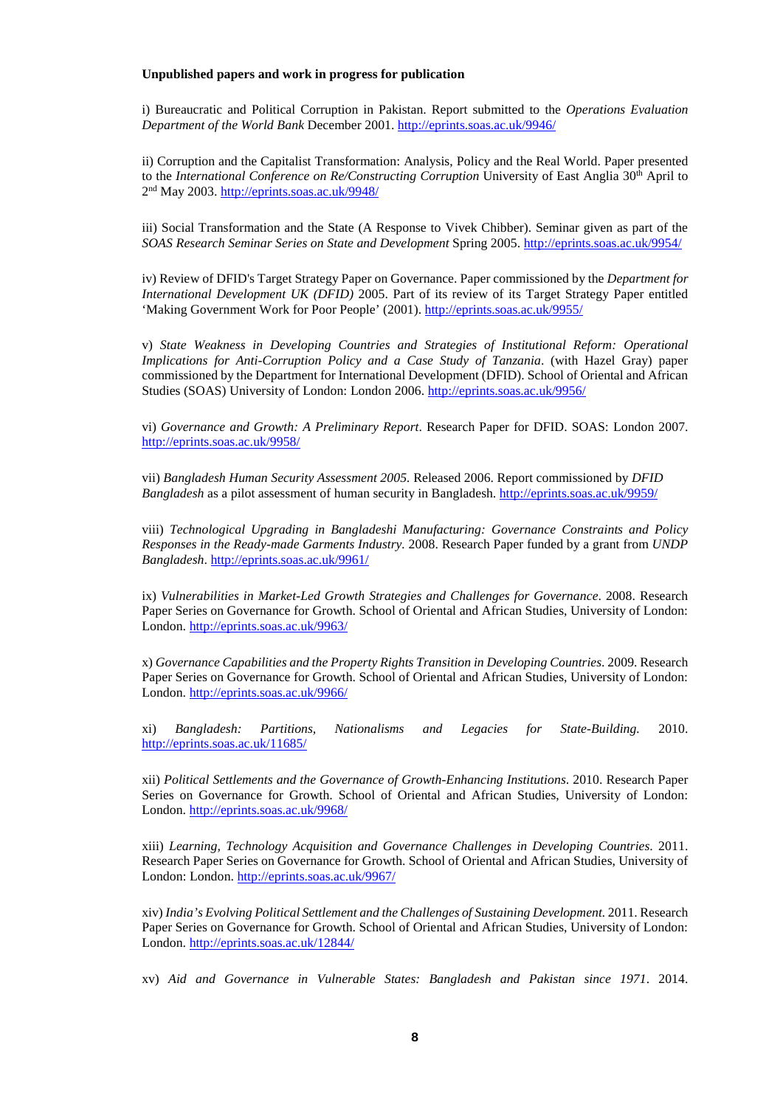### **Unpublished papers and work in progress for publication**

i) Bureaucratic and Political Corruption in Pakistan. Report submitted to the *Operations Evaluation Department of the World Bank* December 2001. <http://eprints.soas.ac.uk/9946/>

ii) Corruption and the Capitalist Transformation: Analysis, Policy and the Real World. Paper presented to the *International Conference on Re/Constructing Corruption* University of East Anglia 30<sup>th</sup> April to 2nd May 2003. <http://eprints.soas.ac.uk/9948/>

iii) Social Transformation and the State (A Response to Vivek Chibber). Seminar given as part of the *SOAS Research Seminar Series on State and Development* Spring 2005.<http://eprints.soas.ac.uk/9954/>

iv) Review of DFID's Target Strategy Paper on Governance. Paper commissioned by the *Department for International Development UK (DFID)* 2005. Part of its review of its Target Strategy Paper entitled 'Making Government Work for Poor People' (2001). <http://eprints.soas.ac.uk/9955/>

v) *State Weakness in Developing Countries and Strategies of Institutional Reform: Operational Implications for Anti-Corruption Policy and a Case Study of Tanzania*. (with Hazel Gray) paper commissioned by the Department for International Development (DFID). School of Oriental and African Studies (SOAS) University of London: London 2006. <http://eprints.soas.ac.uk/9956/>

vi) *Governance and Growth: A Preliminary Report*. Research Paper for DFID. SOAS: London 2007. <http://eprints.soas.ac.uk/9958/>

vii) *Bangladesh Human Security Assessment 2005.* Released 2006. Report commissioned by *DFID Bangladesh* as a pilot assessment of human security in Bangladesh. <http://eprints.soas.ac.uk/9959/>

viii) *Technological Upgrading in Bangladeshi Manufacturing: Governance Constraints and Policy Responses in the Ready-made Garments Industry.* 2008. Research Paper funded by a grant from *UNDP Bangladesh*.<http://eprints.soas.ac.uk/9961/>

ix) *Vulnerabilities in Market-Led Growth Strategies and Challenges for Governance*. 2008. Research Paper Series on Governance for Growth. School of Oriental and African Studies, University of London: London.<http://eprints.soas.ac.uk/9963/>

x) *Governance Capabilities and the Property Rights Transition in Developing Countries*. 2009. Research Paper Series on Governance for Growth. School of Oriental and African Studies, University of London: London.<http://eprints.soas.ac.uk/9966/>

xi) *Bangladesh: Partitions, Nationalisms and Legacies for State-Building.* 2010. <http://eprints.soas.ac.uk/11685/>

xii) *Political Settlements and the Governance of Growth-Enhancing Institutions*. 2010. Research Paper Series on Governance for Growth. School of Oriental and African Studies, University of London: London. <http://eprints.soas.ac.uk/9968/>

xiii) *Learning, Technology Acquisition and Governance Challenges in Developing Countries*. 2011. Research Paper Series on Governance for Growth. School of Oriental and African Studies, University of London: London. <http://eprints.soas.ac.uk/9967/>

xiv) *India's Evolving Political Settlement and the Challenges of Sustaining Development.* 2011. Research Paper Series on Governance for Growth. School of Oriental and African Studies, University of London: London. <http://eprints.soas.ac.uk/12844/>

xv) *Aid and Governance in Vulnerable States: Bangladesh and Pakistan since 1971*. 2014.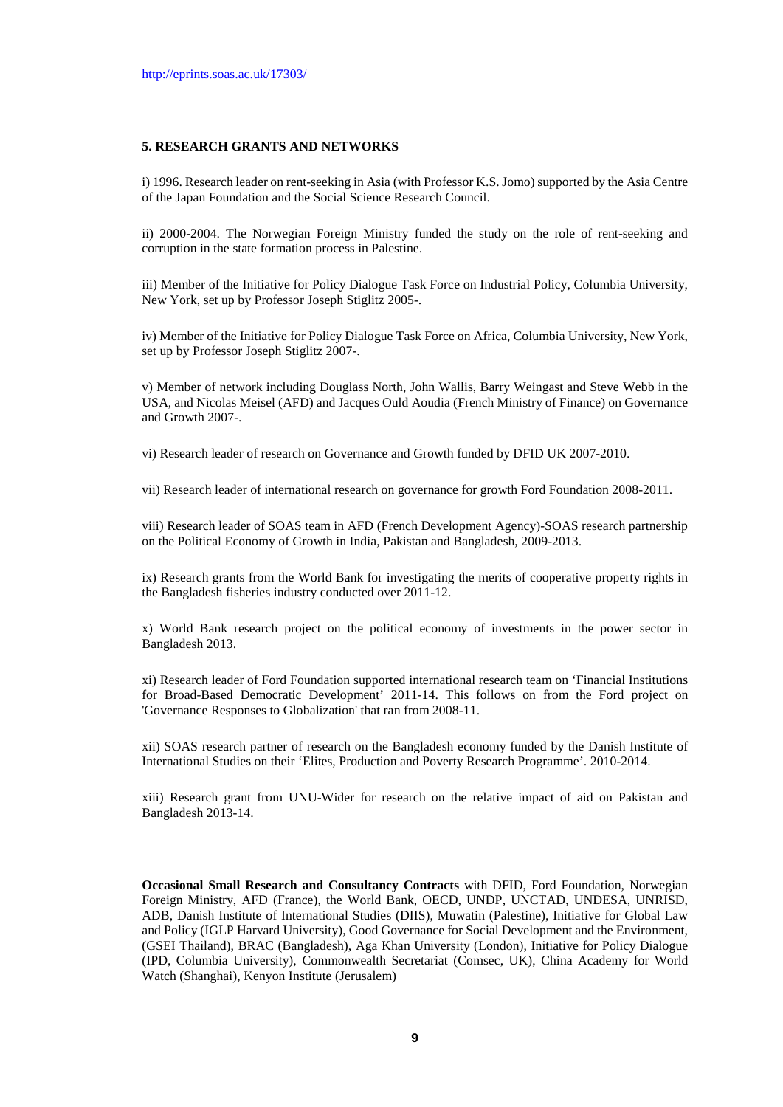### **5. RESEARCH GRANTS AND NETWORKS**

i) 1996. Research leader on rent-seeking in Asia (with Professor K.S. Jomo) supported by the Asia Centre of the Japan Foundation and the Social Science Research Council.

ii) 2000-2004. The Norwegian Foreign Ministry funded the study on the role of rent-seeking and corruption in the state formation process in Palestine.

iii) Member of the Initiative for Policy Dialogue Task Force on Industrial Policy, Columbia University, New York, set up by Professor Joseph Stiglitz 2005-.

iv) Member of the Initiative for Policy Dialogue Task Force on Africa, Columbia University, New York, set up by Professor Joseph Stiglitz 2007-.

v) Member of network including Douglass North, John Wallis, Barry Weingast and Steve Webb in the USA, and Nicolas Meisel (AFD) and Jacques Ould Aoudia (French Ministry of Finance) on Governance and Growth 2007-.

vi) Research leader of research on Governance and Growth funded by DFID UK 2007-2010.

vii) Research leader of international research on governance for growth Ford Foundation 2008-2011.

viii) Research leader of SOAS team in AFD (French Development Agency)-SOAS research partnership on the Political Economy of Growth in India, Pakistan and Bangladesh, 2009-2013.

ix) Research grants from the World Bank for investigating the merits of cooperative property rights in the Bangladesh fisheries industry conducted over 2011-12.

x) World Bank research project on the political economy of investments in the power sector in Bangladesh 2013.

xi) Research leader of Ford Foundation supported international research team on 'Financial Institutions for Broad-Based Democratic Development' 2011-14. This follows on from the Ford project on 'Governance Responses to Globalization' that ran from 2008-11.

xii) SOAS research partner of research on the Bangladesh economy funded by the Danish Institute of International Studies on their 'Elites, Production and Poverty Research Programme'. 2010-2014.

xiii) Research grant from UNU-Wider for research on the relative impact of aid on Pakistan and Bangladesh 2013-14.

**Occasional Small Research and Consultancy Contracts** with DFID, Ford Foundation, Norwegian Foreign Ministry, AFD (France), the World Bank, OECD, UNDP, UNCTAD, UNDESA, UNRISD, ADB, Danish Institute of International Studies (DIIS), Muwatin (Palestine), Initiative for Global Law and Policy (IGLP Harvard University), Good Governance for Social Development and the Environment, (GSEI Thailand), BRAC (Bangladesh), Aga Khan University (London), Initiative for Policy Dialogue (IPD, Columbia University), Commonwealth Secretariat (Comsec, UK), China Academy for World Watch (Shanghai), Kenyon Institute (Jerusalem)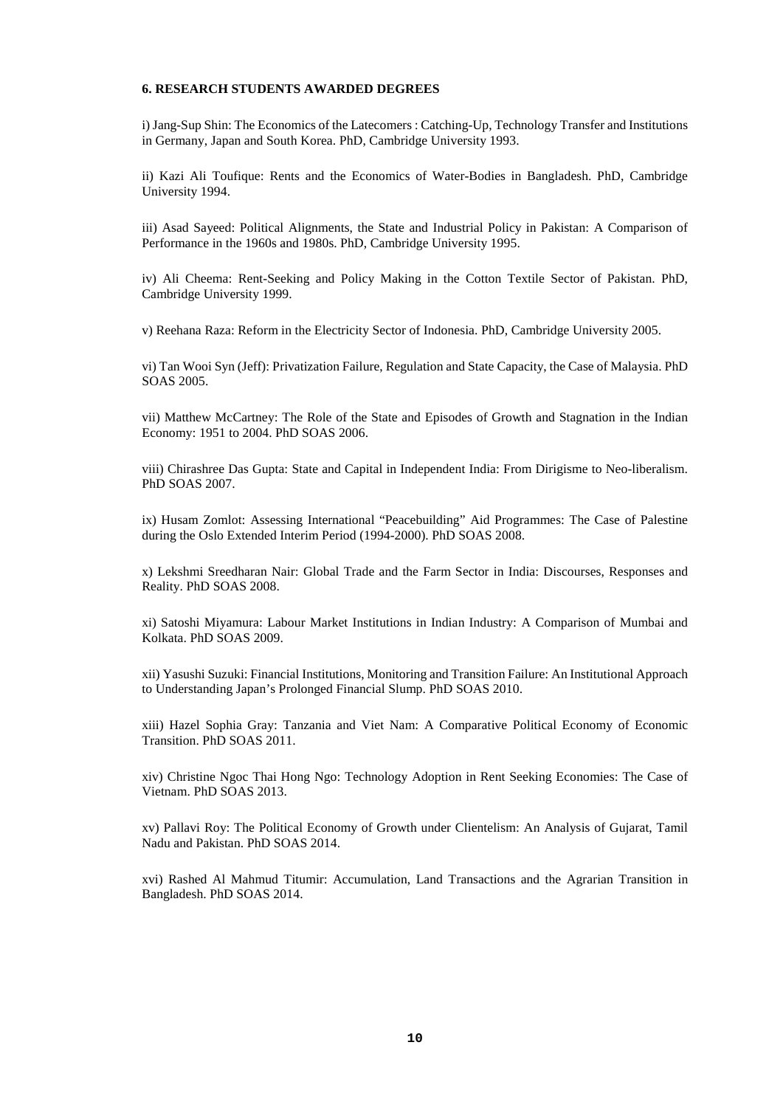### **6. RESEARCH STUDENTS AWARDED DEGREES**

i) Jang-Sup Shin: The Economics of the Latecomers : Catching-Up, Technology Transfer and Institutions in Germany, Japan and South Korea. PhD, Cambridge University 1993.

ii) Kazi Ali Toufique: Rents and the Economics of Water-Bodies in Bangladesh. PhD, Cambridge University 1994.

iii) Asad Sayeed: Political Alignments, the State and Industrial Policy in Pakistan: A Comparison of Performance in the 1960s and 1980s. PhD, Cambridge University 1995.

iv) Ali Cheema: Rent-Seeking and Policy Making in the Cotton Textile Sector of Pakistan. PhD, Cambridge University 1999.

v) Reehana Raza: Reform in the Electricity Sector of Indonesia. PhD, Cambridge University 2005.

vi) Tan Wooi Syn (Jeff): Privatization Failure, Regulation and State Capacity, the Case of Malaysia. PhD SOAS 2005.

vii) Matthew McCartney: The Role of the State and Episodes of Growth and Stagnation in the Indian Economy: 1951 to 2004. PhD SOAS 2006.

viii) Chirashree Das Gupta: State and Capital in Independent India: From Dirigisme to Neo-liberalism. PhD SOAS 2007.

ix) Husam Zomlot: Assessing International "Peacebuilding" Aid Programmes: The Case of Palestine during the Oslo Extended Interim Period (1994-2000). PhD SOAS 2008.

x) Lekshmi Sreedharan Nair: Global Trade and the Farm Sector in India: Discourses, Responses and Reality. PhD SOAS 2008.

xi) Satoshi Miyamura: Labour Market Institutions in Indian Industry: A Comparison of Mumbai and Kolkata. PhD SOAS 2009.

xii) Yasushi Suzuki: Financial Institutions, Monitoring and Transition Failure: An Institutional Approach to Understanding Japan's Prolonged Financial Slump. PhD SOAS 2010.

xiii) Hazel Sophia Gray: Tanzania and Viet Nam: A Comparative Political Economy of Economic Transition. PhD SOAS 2011.

xiv) Christine Ngoc Thai Hong Ngo: Technology Adoption in Rent Seeking Economies: The Case of Vietnam. PhD SOAS 2013.

xv) Pallavi Roy: The Political Economy of Growth under Clientelism: An Analysis of Gujarat, Tamil Nadu and Pakistan. PhD SOAS 2014.

xvi) Rashed Al Mahmud Titumir: Accumulation, Land Transactions and the Agrarian Transition in Bangladesh. PhD SOAS 2014.